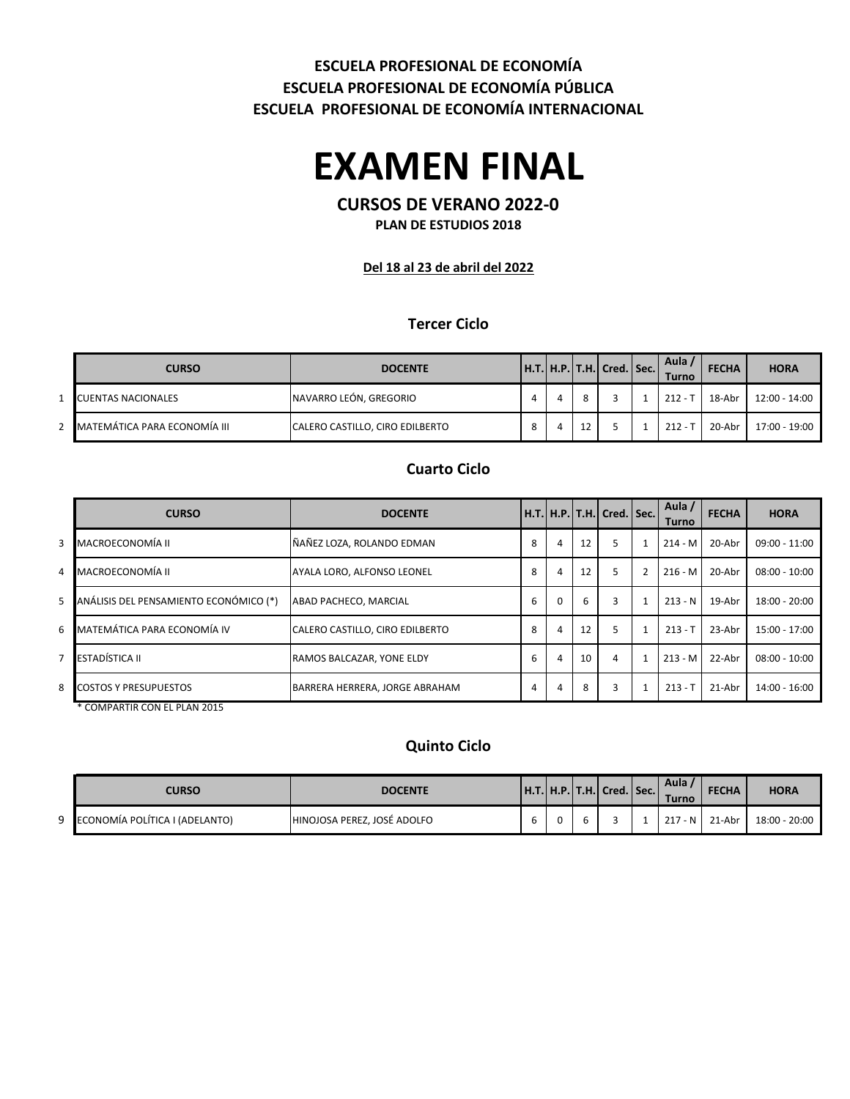### **ESCUELA PROFESIONAL DE ECONOMÍA ESCUELA PROFESIONAL DE ECONOMÍA PÚBLICA ESCUELA PROFESIONAL DE ECONOMÍA INTERNACIONAL**

# **EXAMEN FINAL**

## **CURSOS DE VERANO 2022-0**

**PLAN DE ESTUDIOS 2018**

**Del 18 al 23 de abril del 2022**

#### **Tercer Ciclo**

| <b>CURSO</b>                 | <b>DOCENTE</b>                  |   |   | $H.T.$ H.P. $T.H.$ Cred. Sec. | Aula .<br>Turno | <b>FECHA</b> | <b>HORA</b>   |
|------------------------------|---------------------------------|---|---|-------------------------------|-----------------|--------------|---------------|
| <b>CUENTAS NACIONALES</b>    | NAVARRO LEÓN, GREGORIO          |   |   |                               | $212 -$         | 18-Abr       | 12:00 - 14:00 |
| MATEMÁTICA PARA ECONOMÍA III | CALERO CASTILLO, CIRO EDILBERTO | 8 | 4 |                               | $212 -$         | 20-Abr       | 17:00 - 19:00 |

#### **Cuarto Ciclo**

|   | <b>CURSO</b>                           | <b>DOCENTE</b>                  |   |          |    | H.T.   H.P.   T.H.   Cred.   Sec. |                | Aula /<br>Turno | <b>FECHA</b> | <b>HORA</b>     |
|---|----------------------------------------|---------------------------------|---|----------|----|-----------------------------------|----------------|-----------------|--------------|-----------------|
| 3 | MACROECONOMÍA II                       | ÑAÑEZ LOZA, ROLANDO EDMAN       | 8 | 4        | 12 | 5                                 |                | $214 - M$       | 20-Abr       | 09:00 - 11:00   |
| 4 | MACROECONOMÍA II                       | AYALA LORO, ALFONSO LEONEL      | 8 | 4        | 12 | 5                                 | $\overline{2}$ | $216 - M$       | 20-Abr       | $08:00 - 10:00$ |
| 5 | ANÁLISIS DEL PENSAMIENTO ECONÓMICO (*) | ABAD PACHECO, MARCIAL           | 6 | $\Omega$ | 6  | 3                                 |                | $213 - N$       | 19-Abr       | $18:00 - 20:00$ |
| 6 | MATEMÁTICA PARA ECONOMÍA IV            | CALERO CASTILLO, CIRO EDILBERTO | 8 | 4        | 12 | 5                                 |                | $213 - T$       | 23-Abr       | 15:00 - 17:00   |
| 7 | ESTADÍSTICA II                         | RAMOS BALCAZAR. YONE ELDY       | 6 | 4        | 10 | 4                                 |                | $213 - M$       | 22-Abr       | $08:00 - 10:00$ |
| 8 | <b>COSTOS Y PRESUPUESTOS</b>           | BARRERA HERRERA, JORGE ABRAHAM  | 4 | 4        | 8  | 3                                 |                | $213 - T$       | 21-Abr       | 14:00 - 16:00   |
|   | COMPARTIR CON EL PLAN 2015             |                                 |   |          |    |                                   |                |                 |              |                 |

#### **Quinto Ciclo**

| <b>CURSO</b>                     | <b>DOCENTE</b>              |  | $[H.T. H.P. T.H.]$ Cred. Sec. | Aula<br><b>Turno</b> | <b>FECHA</b>   | <b>HORA</b>   |
|----------------------------------|-----------------------------|--|-------------------------------|----------------------|----------------|---------------|
| 9 ECONOMÍA POLÍTICA I (ADELANTO) | HINOJOSA PEREZ. JOSÉ ADOLFO |  |                               |                      | 217 - N 21-Abr | 18:00 - 20:00 |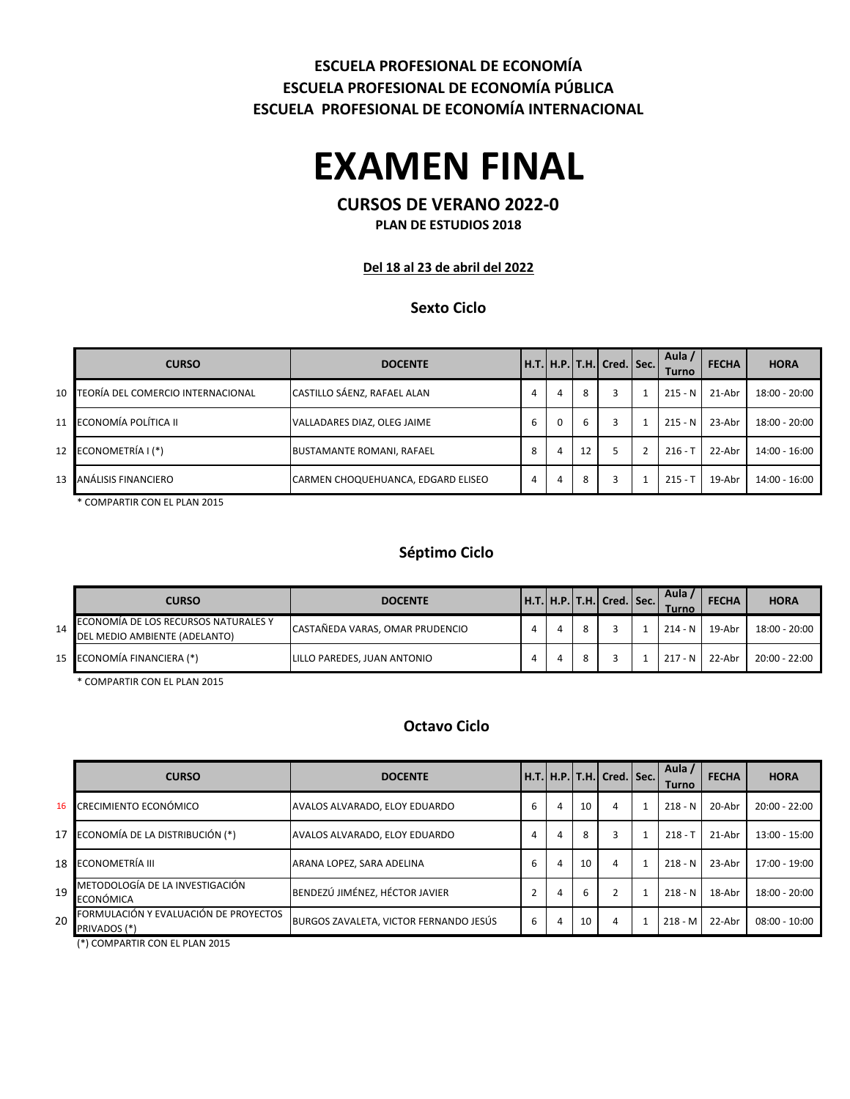## **ESCUELA PROFESIONAL DE ECONOMÍA ESCUELA PROFESIONAL DE ECONOMÍA PÚBLICA ESCUELA PROFESIONAL DE ECONOMÍA INTERNACIONAL**

# **EXAMEN FINAL**

## **CURSOS DE VERANO 2022-0**

**PLAN DE ESTUDIOS 2018**

#### **Del 18 al 23 de abril del 2022**

#### **Sexto Ciclo**

|                 | <b>CURSO</b>                      | <b>DOCENTE</b>                     |   |          |    | Н.Т.  Н.Р.  Т.Н.  Cred.   Sec. | Aula<br>Turno | <b>FECHA</b> | <b>HORA</b>     |
|-----------------|-----------------------------------|------------------------------------|---|----------|----|--------------------------------|---------------|--------------|-----------------|
| $10-1$          | TEORÍA DEL COMERCIO INTERNACIONAL | CASTILLO SÁENZ, RAFAEL ALAN        | 4 | 4        | 8  | 3                              | $215 - N$     | 21-Abr       | $18:00 - 20:00$ |
|                 | 11 ECONOMÍA POLÍTICA II           | VALLADARES DIAZ, OLEG JAIME        | 6 | $\Omega$ | 6  | 3                              | $215 - N$     | 23-Abr       | $18:00 - 20:00$ |
|                 | 12 ECONOMETRÍA I (*)              | <b>BUSTAMANTE ROMANI, RAFAEL</b>   | 8 | 4        | 12 |                                | $216 - T$     | 22-Abr       | 14:00 - 16:00   |
| 13 <sup>1</sup> | ANÁLISIS FINANCIERO               | CARMEN CHOQUEHUANCA, EDGARD ELISEO | 4 | 4        | 8  | 3                              | $215 -$       | 19-Abr       | 14:00 - 16:00   |

\* COMPARTIR CON EL PLAN 2015

### **Séptimo Ciclo**

|    | <b>CURSO</b>                                                          | <b>DOCENTE</b>                  |  | H.T.   H.P.   T.H.   Cred.   Sec. | Aula<br><b>Turno</b> | <b>FECHA</b> | <b>HORA</b>   |
|----|-----------------------------------------------------------------------|---------------------------------|--|-----------------------------------|----------------------|--------------|---------------|
| 14 | ECONOMÍA DE LOS RECURSOS NATURALES Y<br>DEL MEDIO AMBIENTE (ADELANTO) | CASTAÑEDA VARAS, OMAR PRUDENCIO |  |                                   | $214 - N$            | 19-Abr       | 18:00 - 20:00 |
|    | 15 ECONOMÍA FINANCIERA (*)                                            | LILLO PAREDES, JUAN ANTONIO     |  |                                   | $217 - N$            | 22-Abr       | 20:00 - 22:00 |

\* COMPARTIR CON EL PLAN 2015

#### **Octavo Ciclo**

|    | <b>CURSO</b>                                                 | <b>DOCENTE</b>                         |   |   |    | H.T.  H.P. T.H.  Cred. Sec. | Aula /<br>Turno | <b>FECHA</b> | <b>HORA</b>     |
|----|--------------------------------------------------------------|----------------------------------------|---|---|----|-----------------------------|-----------------|--------------|-----------------|
| 16 | CRECIMIENTO ECONÓMICO                                        | AVALOS ALVARADO, ELOY EDUARDO          | b | 4 | 10 | 4                           | $218 - N$       | 20-Abr       | $20:00 - 22:00$ |
|    | 17 ECONOMÍA DE LA DISTRIBUCIÓN (*)                           | AVALOS ALVARADO. ELOY EDUARDO          | 4 | 4 | 8  |                             | $218 - T$       | 21-Abr       | 13:00 - 15:00   |
|    | 18 ECONOMETRÍA III                                           | ARANA LOPEZ, SARA ADELINA              | h | 4 | 10 | 4                           | $218 - N$       | 23-Abr       | 17:00 - 19:00   |
| 19 | METODOLOGÍA DE LA INVESTIGACIÓN<br>ECONÓMICA                 | BENDEZÚ JIMÉNEZ, HÉCTOR JAVIER         |   | 4 | b  |                             | $218 - N$       | 18-Abr       | $18:00 - 20:00$ |
| 20 | FORMULACIÓN Y EVALUACIÓN DE PROYECTOS<br><b>PRIVADOS (*)</b> | BURGOS ZAVALETA, VICTOR FERNANDO JESÚS | 6 | 4 | 10 | 4                           | $218 - M$       | 22-Abr       | $08:00 - 10:00$ |

(\*) COMPARTIR CON EL PLAN 2015